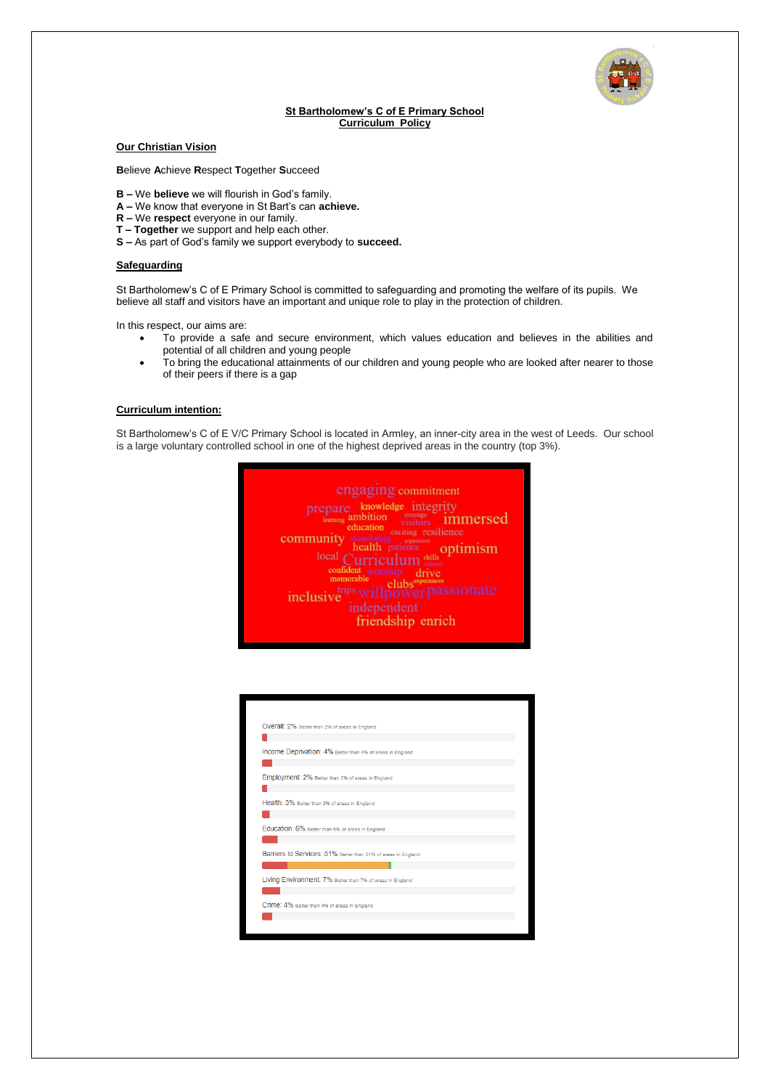

## **St Bartholomew's C of E Primary School Curriculum Policy**

# **Our Christian Vision**

**B**elieve **A**chieve **R**espect **T**ogether **S**ucceed

- **B –** We **believe** we will flourish in God's family.
- **A –** We know that everyone in St Bart's can **achieve.**
- **R –** We **respect** everyone in our family.
- **T – Together** we support and help each other.
- **S –** As part of God's family we support everybody to **succeed.**

# **Safeguarding**

St Bartholomew's C of E Primary School is committed to safeguarding and promoting the welfare of its pupils. We believe all staff and visitors have an important and unique role to play in the protection of children.

In this respect, our aims are:

- To provide a safe and secure environment, which values education and believes in the abilities and potential of all children and young people
- To bring the educational attainments of our children and young people who are looked after nearer to those of their peers if there is a gap

#### **Curriculum intention:**

St Bartholomew's C of E V/C Primary School is located in Armley, an inner-city area in the west of Leeds. Our school is a large voluntary controlled school in one of the highest deprived areas in the country (top 3%).



| Overall: 2% Better than 2% of areas in England                |  |  |
|---------------------------------------------------------------|--|--|
|                                                               |  |  |
| Income Deprivation: 4% Better than 4% of areas in England     |  |  |
|                                                               |  |  |
| Employment: 2% Better than 2% of areas in England             |  |  |
|                                                               |  |  |
| Health: 3% Better than 3% of areas in England                 |  |  |
|                                                               |  |  |
| Education: 6% Better than 6% of areas in England              |  |  |
|                                                               |  |  |
| Barriers to Services: 51% Better than 51% of areas in England |  |  |
|                                                               |  |  |
| Living Environment: 7% Better than 7% of areas in England     |  |  |
|                                                               |  |  |
| Crime: 4% Better than 4% of areas in England                  |  |  |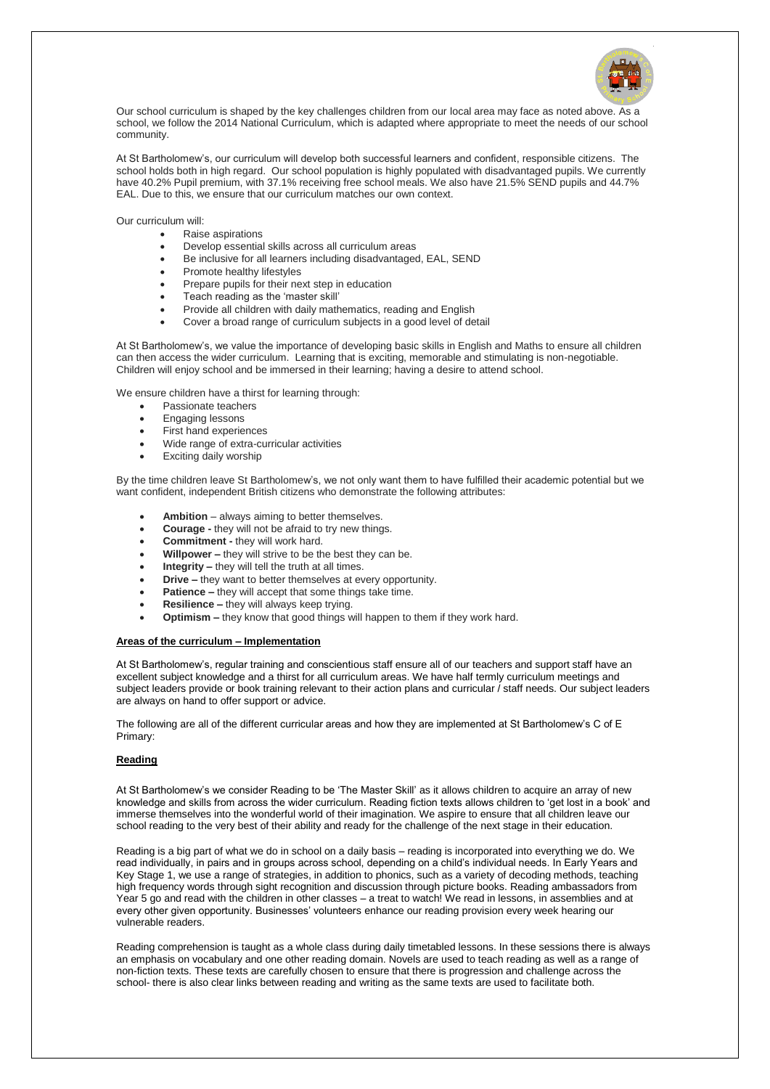

Our school curriculum is shaped by the key challenges children from our local area may face as noted above. As a school, we follow the 2014 National Curriculum, which is adapted where appropriate to meet the needs of our school community.

At St Bartholomew's, our curriculum will develop both successful learners and confident, responsible citizens. The school holds both in high regard. Our school population is highly populated with disadvantaged pupils. We currently have 40.2% Pupil premium, with 37.1% receiving free school meals. We also have 21.5% SEND pupils and 44.7% EAL. Due to this, we ensure that our curriculum matches our own context.

Our curriculum will:

- Raise aspirations
- Develop essential skills across all curriculum areas
- Be inclusive for all learners including disadvantaged, EAL, SEND
- Promote healthy lifestyles
- Prepare pupils for their next step in education
- Teach reading as the 'master skill'
- Provide all children with daily mathematics, reading and English
- Cover a broad range of curriculum subjects in a good level of detail

At St Bartholomew's, we value the importance of developing basic skills in English and Maths to ensure all children can then access the wider curriculum. Learning that is exciting, memorable and stimulating is non-negotiable. Children will enjoy school and be immersed in their learning; having a desire to attend school.

We ensure children have a thirst for learning through:

- Passionate teachers
- Engaging lessons
- First hand experiences
- Wide range of extra-curricular activities
- Exciting daily worship

By the time children leave St Bartholomew's, we not only want them to have fulfilled their academic potential but we want confident, independent British citizens who demonstrate the following attributes:

- **Ambition** always aiming to better themselves.
- **Courage -** they will not be afraid to try new things.
- **Commitment -** they will work hard.
- **Willpower –** they will strive to be the best they can be.
- **Integrity –** they will tell the truth at all times.
- **Drive –** they want to better themselves at every opportunity.
- **Patience –** they will accept that some things take time.
- **Resilience –** they will always keep trying.
- **Optimism –** they know that good things will happen to them if they work hard.

### **Areas of the curriculum – Implementation**

At St Bartholomew's, regular training and conscientious staff ensure all of our teachers and support staff have an excellent subject knowledge and a thirst for all curriculum areas. We have half termly curriculum meetings and subject leaders provide or book training relevant to their action plans and curricular / staff needs. Our subject leaders are always on hand to offer support or advice.

The following are all of the different curricular areas and how they are implemented at St Bartholomew's C of E Primary:

### **Reading**

At St Bartholomew's we consider Reading to be 'The Master Skill' as it allows children to acquire an array of new knowledge and skills from across the wider curriculum. Reading fiction texts allows children to 'get lost in a book' and immerse themselves into the wonderful world of their imagination. We aspire to ensure that all children leave our school reading to the very best of their ability and ready for the challenge of the next stage in their education.

Reading is a big part of what we do in school on a daily basis – reading is incorporated into everything we do. We read individually, in pairs and in groups across school, depending on a child's individual needs. In Early Years and Key Stage 1, we use a range of strategies, in addition to phonics, such as a variety of decoding methods, teaching high frequency words through sight recognition and discussion through picture books. Reading ambassadors from Year 5 go and read with the children in other classes – a treat to watch! We read in lessons, in assemblies and at every other given opportunity. Businesses' volunteers enhance our reading provision every week hearing our vulnerable readers.

Reading comprehension is taught as a whole class during daily timetabled lessons. In these sessions there is always an emphasis on vocabulary and one other reading domain. Novels are used to teach reading as well as a range of non-fiction texts. These texts are carefully chosen to ensure that there is progression and challenge across the school- there is also clear links between reading and writing as the same texts are used to facilitate both.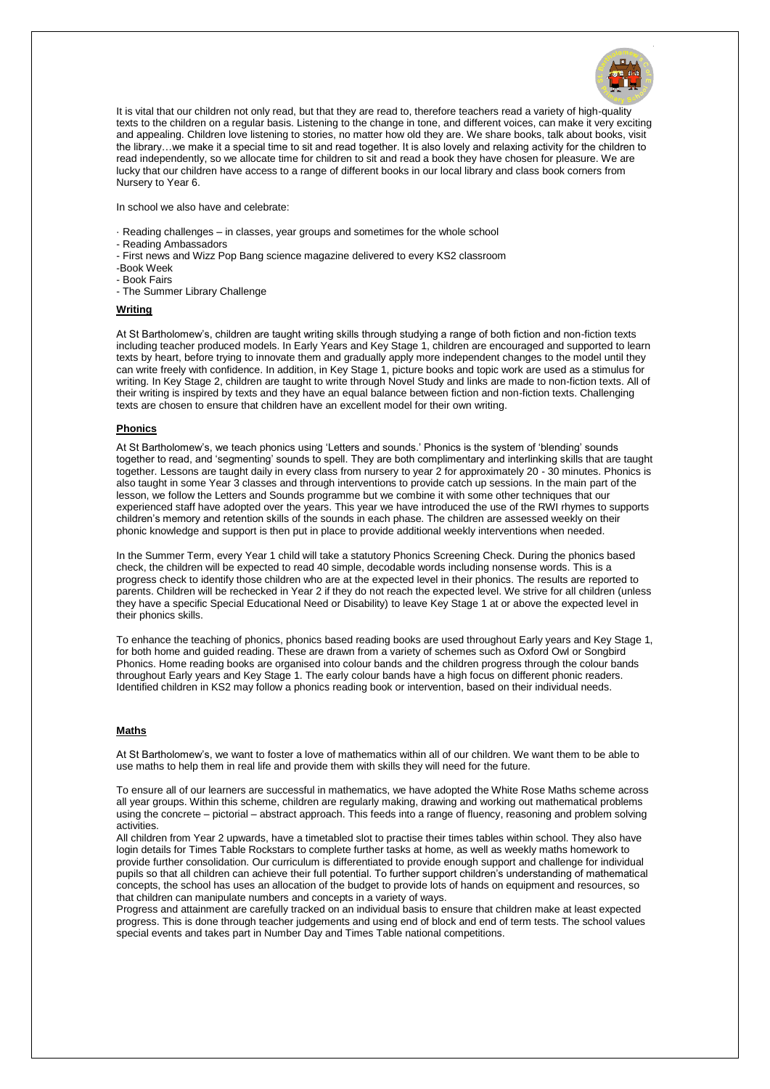

It is vital that our children not only read, but that they are read to, therefore teachers read a variety of high-quality texts to the children on a regular basis. Listening to the change in tone, and different voices, can make it very exciting and appealing. Children love listening to stories, no matter how old they are. We share books, talk about books, visit the library…we make it a special time to sit and read together. It is also lovely and relaxing activity for the children to read independently, so we allocate time for children to sit and read a book they have chosen for pleasure. We are lucky that our children have access to a range of different books in our local library and class book corners from Nursery to Year 6.

In school we also have and celebrate:

- · Reading challenges in classes, year groups and sometimes for the whole school
- Reading Ambassadors
- First news and Wizz Pop Bang science magazine delivered to every KS2 classroom
- -Book Week
- Book Fairs
- The Summer Library Challenge

# **Writing**

At St Bartholomew's, children are taught writing skills through studying a range of both fiction and non-fiction texts including teacher produced models. In Early Years and Key Stage 1, children are encouraged and supported to learn texts by heart, before trying to innovate them and gradually apply more independent changes to the model until they can write freely with confidence. In addition, in Key Stage 1, picture books and topic work are used as a stimulus for writing. In Key Stage 2, children are taught to write through Novel Study and links are made to non-fiction texts. All of their writing is inspired by texts and they have an equal balance between fiction and non-fiction texts. Challenging texts are chosen to ensure that children have an excellent model for their own writing.

### **Phonics**

At St Bartholomew's, we teach phonics using 'Letters and sounds.' Phonics is the system of 'blending' sounds together to read, and 'segmenting' sounds to spell. They are both complimentary and interlinking skills that are taught together. Lessons are taught daily in every class from nursery to year 2 for approximately 20 - 30 minutes. Phonics is also taught in some Year 3 classes and through interventions to provide catch up sessions. In the main part of the lesson, we follow the Letters and Sounds programme but we combine it with some other techniques that our experienced staff have adopted over the years. This year we have introduced the use of the RWI rhymes to supports children's memory and retention skills of the sounds in each phase. The children are assessed weekly on their phonic knowledge and support is then put in place to provide additional weekly interventions when needed.

In the Summer Term, every Year 1 child will take a statutory Phonics Screening Check. During the phonics based check, the children will be expected to read 40 simple, decodable words including nonsense words. This is a progress check to identify those children who are at the expected level in their phonics. The results are reported to parents. Children will be rechecked in Year 2 if they do not reach the expected level. We strive for all children (unless they have a specific Special Educational Need or Disability) to leave Key Stage 1 at or above the expected level in their phonics skills.

To enhance the teaching of phonics, phonics based reading books are used throughout Early years and Key Stage 1, for both home and guided reading. These are drawn from a variety of schemes such as Oxford Owl or Songbird Phonics. Home reading books are organised into colour bands and the children progress through the colour bands throughout Early years and Key Stage 1. The early colour bands have a high focus on different phonic readers. Identified children in KS2 may follow a phonics reading book or intervention, based on their individual needs.

# **Maths**

At St Bartholomew's, we want to foster a love of mathematics within all of our children. We want them to be able to use maths to help them in real life and provide them with skills they will need for the future.

To ensure all of our learners are successful in mathematics, we have adopted the White Rose Maths scheme across all year groups. Within this scheme, children are regularly making, drawing and working out mathematical problems using the concrete – pictorial – abstract approach. This feeds into a range of fluency, reasoning and problem solving activities.

All children from Year 2 upwards, have a timetabled slot to practise their times tables within school. They also have login details for Times Table Rockstars to complete further tasks at home, as well as weekly maths homework to provide further consolidation. Our curriculum is differentiated to provide enough support and challenge for individual pupils so that all children can achieve their full potential. To further support children's understanding of mathematical concepts, the school has uses an allocation of the budget to provide lots of hands on equipment and resources, so that children can manipulate numbers and concepts in a variety of ways.

Progress and attainment are carefully tracked on an individual basis to ensure that children make at least expected progress. This is done through teacher judgements and using end of block and end of term tests. The school values special events and takes part in Number Day and Times Table national competitions.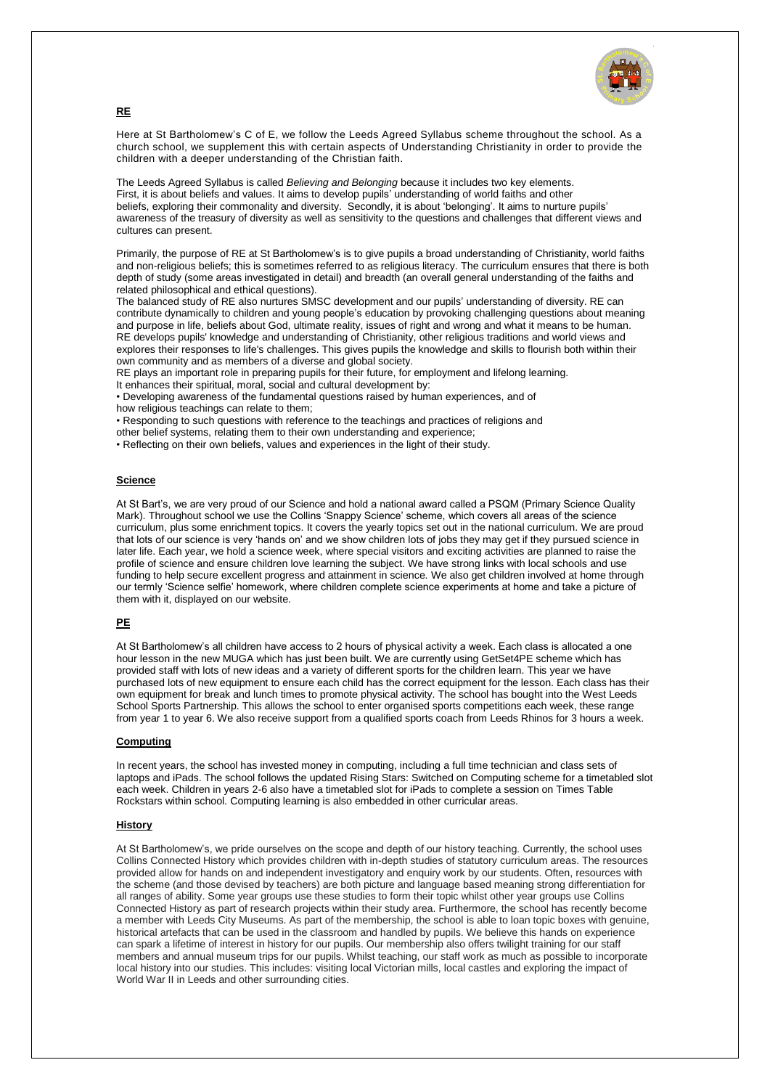

**RE**

Here at St Bartholomew's C of E, we follow the Leeds Agreed Syllabus scheme throughout the school. As a church school, we supplement this with certain aspects of Understanding Christianity in order to provide the children with a deeper understanding of the Christian faith.

The Leeds Agreed Syllabus is called *Believing and Belonging* because it includes two key elements. First, it is about beliefs and values. It aims to develop pupils' understanding of world faiths and other beliefs, exploring their commonality and diversity. Secondly, it is about 'belonging'. It aims to nurture pupils' awareness of the treasury of diversity as well as sensitivity to the questions and challenges that different views and cultures can present.

Primarily, the purpose of RE at St Bartholomew's is to give pupils a broad understanding of Christianity, world faiths and non-religious beliefs; this is sometimes referred to as religious literacy. The curriculum ensures that there is both depth of study (some areas investigated in detail) and breadth (an overall general understanding of the faiths and related philosophical and ethical questions).

The balanced study of RE also nurtures SMSC development and our pupils' understanding of diversity. RE can contribute dynamically to children and young people's education by provoking challenging questions about meaning and purpose in life, beliefs about God, ultimate reality, issues of right and wrong and what it means to be human. RE develops pupils' knowledge and understanding of Christianity, other religious traditions and world views and explores their responses to life's challenges. This gives pupils the knowledge and skills to flourish both within their own community and as members of a diverse and global society.

RE plays an important role in preparing pupils for their future, for employment and lifelong learning.

It enhances their spiritual, moral, social and cultural development by:

• Developing awareness of the fundamental questions raised by human experiences, and of how religious teachings can relate to them;

• Responding to such questions with reference to the teachings and practices of religions and

other belief systems, relating them to their own understanding and experience;

• Reflecting on their own beliefs, values and experiences in the light of their study.

### **Science**

At St Bart's, we are very proud of our Science and hold a national award called a PSQM (Primary Science Quality Mark). Throughout school we use the Collins 'Snappy Science' scheme, which covers all areas of the science curriculum, plus some enrichment topics. It covers the yearly topics set out in the national curriculum. We are proud that lots of our science is very 'hands on' and we show children lots of jobs they may get if they pursued science in later life. Each year, we hold a science week, where special visitors and exciting activities are planned to raise the profile of science and ensure children love learning the subject. We have strong links with local schools and use funding to help secure excellent progress and attainment in science. We also get children involved at home through our termly 'Science selfie' homework, where children complete science experiments at home and take a picture of them with it, displayed on our website.

### **PE**

At St Bartholomew's all children have access to 2 hours of physical activity a week. Each class is allocated a one hour lesson in the new MUGA which has just been built. We are currently using GetSet4PE scheme which has provided staff with lots of new ideas and a variety of different sports for the children learn. This year we have purchased lots of new equipment to ensure each child has the correct equipment for the lesson. Each class has their own equipment for break and lunch times to promote physical activity. The school has bought into the West Leeds School Sports Partnership. This allows the school to enter organised sports competitions each week, these range from year 1 to year 6. We also receive support from a qualified sports coach from Leeds Rhinos for 3 hours a week.

### **Computing**

In recent years, the school has invested money in computing, including a full time technician and class sets of laptops and iPads. The school follows the updated Rising Stars: Switched on Computing scheme for a timetabled slot each week. Children in years 2-6 also have a timetabled slot for iPads to complete a session on Times Table Rockstars within school. Computing learning is also embedded in other curricular areas.

### **History**

At St Bartholomew's, we pride ourselves on the scope and depth of our history teaching. Currently, the school uses Collins Connected History which provides children with in-depth studies of statutory curriculum areas. The resources provided allow for hands on and independent investigatory and enquiry work by our students. Often, resources with the scheme (and those devised by teachers) are both picture and language based meaning strong differentiation for all ranges of ability. Some year groups use these studies to form their topic whilst other year groups use Collins Connected History as part of research projects within their study area. Furthermore, the school has recently become a member with Leeds City Museums. As part of the membership, the school is able to loan topic boxes with genuine, historical artefacts that can be used in the classroom and handled by pupils. We believe this hands on experience can spark a lifetime of interest in history for our pupils. Our membership also offers twilight training for our staff members and annual museum trips for our pupils. Whilst teaching, our staff work as much as possible to incorporate local history into our studies. This includes: visiting local Victorian mills, local castles and exploring the impact of World War II in Leeds and other surrounding cities.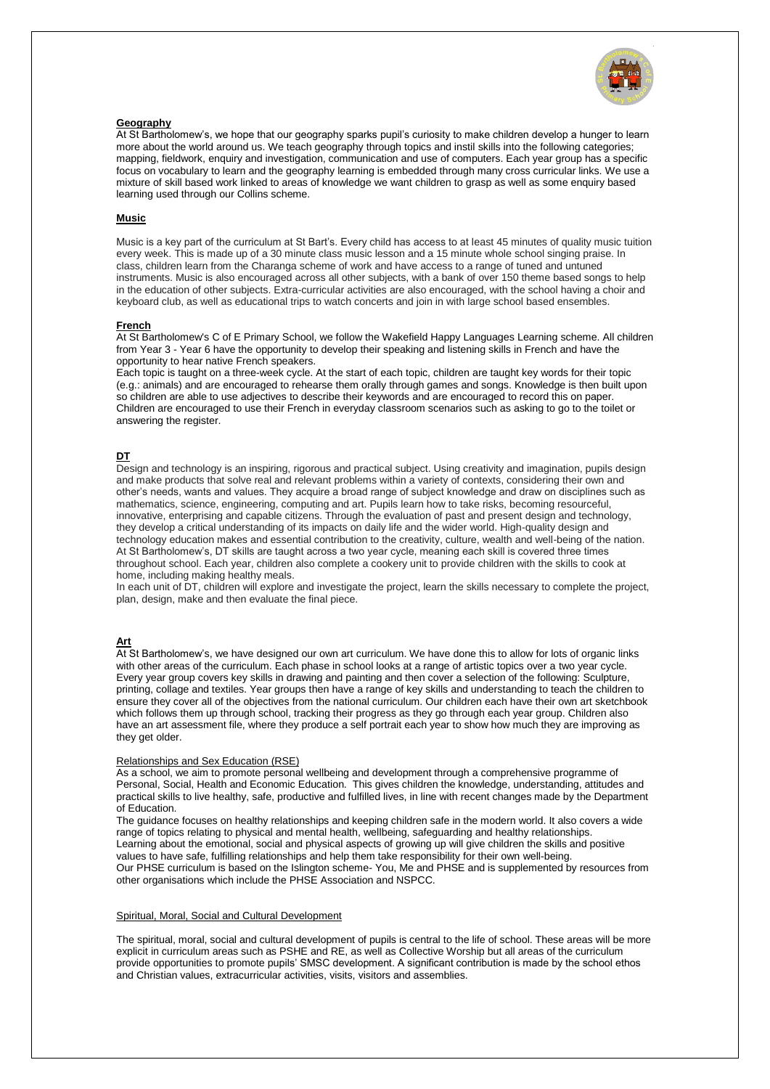

#### **Geography**

At St Bartholomew's, we hope that our geography sparks pupil's curiosity to make children develop a hunger to learn more about the world around us. We teach geography through topics and instil skills into the following categories; mapping, fieldwork, enquiry and investigation, communication and use of computers. Each year group has a specific focus on vocabulary to learn and the geography learning is embedded through many cross curricular links. We use a mixture of skill based work linked to areas of knowledge we want children to grasp as well as some enquiry based learning used through our Collins scheme.

### **Music**

Music is a key part of the curriculum at St Bart's. Every child has access to at least 45 minutes of quality music tuition every week. This is made up of a 30 minute class music lesson and a 15 minute whole school singing praise. In class, children learn from the Charanga scheme of work and have access to a range of tuned and untuned instruments. Music is also encouraged across all other subjects, with a bank of over 150 theme based songs to help in the education of other subjects. Extra-curricular activities are also encouraged, with the school having a choir and keyboard club, as well as educational trips to watch concerts and join in with large school based ensembles.

#### **French**

At St Bartholomew's C of E Primary School, we follow the Wakefield Happy Languages Learning scheme. All children from Year 3 - Year 6 have the opportunity to develop their speaking and listening skills in French and have the opportunity to hear native French speakers.

Each topic is taught on a three-week cycle. At the start of each topic, children are taught key words for their topic (e.g.: animals) and are encouraged to rehearse them orally through games and songs. Knowledge is then built upon so children are able to use adjectives to describe their keywords and are encouraged to record this on paper. Children are encouraged to use their French in everyday classroom scenarios such as asking to go to the toilet or answering the register.

#### **DT**

Design and technology is an inspiring, rigorous and practical subject. Using creativity and imagination, pupils design and make products that solve real and relevant problems within a variety of contexts, considering their own and other's needs, wants and values. They acquire a broad range of subject knowledge and draw on disciplines such as mathematics, science, engineering, computing and art. Pupils learn how to take risks, becoming resourceful, innovative, enterprising and capable citizens. Through the evaluation of past and present design and technology, they develop a critical understanding of its impacts on daily life and the wider world. High-quality design and technology education makes and essential contribution to the creativity, culture, wealth and well-being of the nation. At St Bartholomew's, DT skills are taught across a two year cycle, meaning each skill is covered three times throughout school. Each year, children also complete a cookery unit to provide children with the skills to cook at home, including making healthy meals.

In each unit of DT, children will explore and investigate the project, learn the skills necessary to complete the project, plan, design, make and then evaluate the final piece.

# **Art**

At St Bartholomew's, we have designed our own art curriculum. We have done this to allow for lots of organic links with other areas of the curriculum. Each phase in school looks at a range of artistic topics over a two year cycle. Every year group covers key skills in drawing and painting and then cover a selection of the following: Sculpture, printing, collage and textiles. Year groups then have a range of key skills and understanding to teach the children to ensure they cover all of the objectives from the national curriculum. Our children each have their own art sketchbook which follows them up through school, tracking their progress as they go through each year group. Children also have an art assessment file, where they produce a self portrait each year to show how much they are improving as they get older.

#### [Relationships](https://www.fourmarksprimary.co.uk/relationships-and-sex-education-rse-consultation/) and Sex Education (RSE)

As a school, we aim to promote personal wellbeing and development through a comprehensive programme of Personal, Social, Health and Economic Education. This gives children the knowledge, understanding, attitudes and practical skills to live healthy, safe, productive and fulfilled lives, in line with recent changes made by the Department of Education.

The guidance focuses on healthy relationships and keeping children safe in the modern world. It also covers a wide range of topics relating to physical and mental health, wellbeing, safeguarding and healthy relationships. Learning about the emotional, social and physical aspects of growing up will give children the skills and positive values to have safe, fulfilling relationships and help them take responsibility for their own well-being. Our PHSE curriculum is based on the Islington scheme- You, Me and PHSE and is supplemented by resources from other organisations which include the PHSE Association and NSPCC.

### Spiritual, Moral, Social and Cultural Development

The spiritual, moral, social and cultural development of pupils is central to the life of school. These areas will be more explicit in curriculum areas such as PSHE and RE, as well as Collective Worship but all areas of the curriculum provide opportunities to promote pupils' SMSC development. A significant contribution is made by the school ethos and Christian values, extracurricular activities, visits, visitors and assemblies.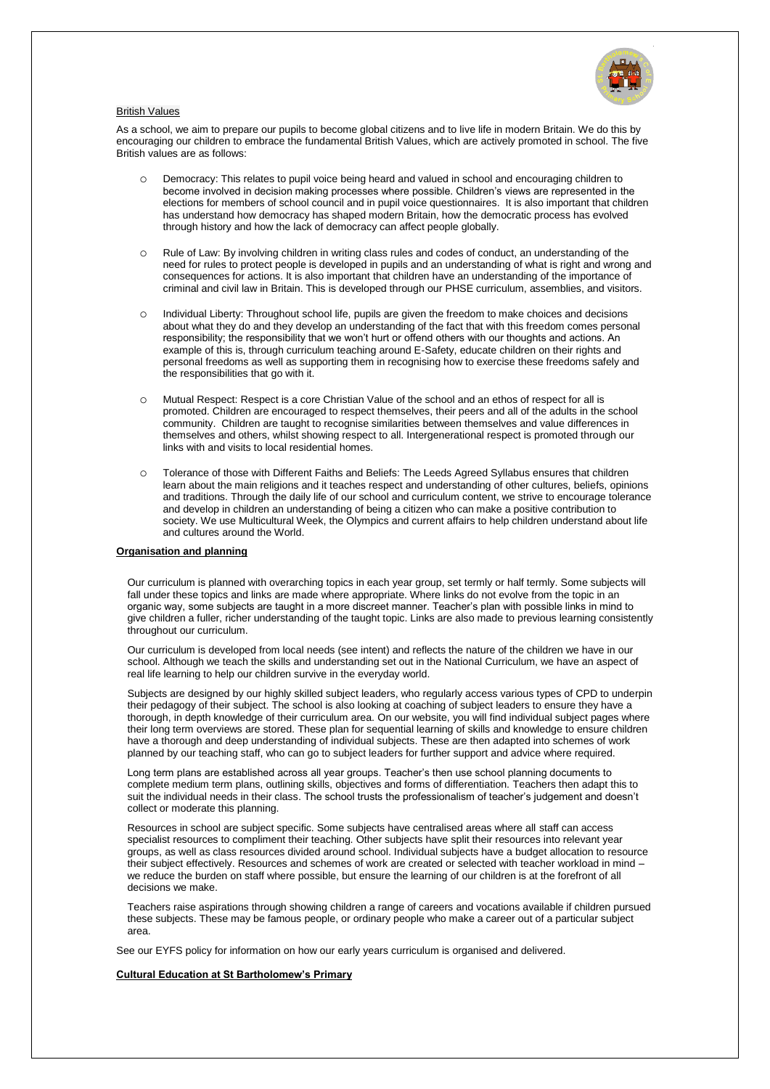

### British Values

As a school, we aim to prepare our pupils to become global citizens and to live life in modern Britain. We do this by encouraging our children to embrace the fundamental British Values, which are actively promoted in school. The five British values are as follows:

- o Democracy: This relates to pupil voice being heard and valued in school and encouraging children to become involved in decision making processes where possible. Children's views are represented in the elections for members of school council and in pupil voice questionnaires. It is also important that children has understand how democracy has shaped modern Britain, how the democratic process has evolved through history and how the lack of democracy can affect people globally.
- o Rule of Law: By involving children in writing class rules and codes of conduct, an understanding of the need for rules to protect people is developed in pupils and an understanding of what is right and wrong and consequences for actions. It is also important that children have an understanding of the importance of criminal and civil law in Britain. This is developed through our PHSE curriculum, assemblies, and visitors.
- o Individual Liberty: Throughout school life, pupils are given the freedom to make choices and decisions about what they do and they develop an understanding of the fact that with this freedom comes personal responsibility; the responsibility that we won't hurt or offend others with our thoughts and actions. An example of this is, through curriculum teaching around E-Safety, educate children on their rights and personal freedoms as well as supporting them in recognising how to exercise these freedoms safely and the responsibilities that go with it.
- o Mutual Respect: Respect is a core Christian Value of the school and an ethos of respect for all is promoted. Children are encouraged to respect themselves, their peers and all of the adults in the school community. Children are taught to recognise similarities between themselves and value differences in themselves and others, whilst showing respect to all. Intergenerational respect is promoted through our links with and visits to local residential homes.
- o Tolerance of those with Different Faiths and Beliefs: The Leeds Agreed Syllabus ensures that children learn about the main religions and it teaches respect and understanding of other cultures, beliefs, opinions and traditions. Through the daily life of our school and curriculum content, we strive to encourage tolerance and develop in children an understanding of being a citizen who can make a positive contribution to society. We use Multicultural Week, the Olympics and current affairs to help children understand about life and cultures around the World.

#### **Organisation and planning**

Our curriculum is planned with overarching topics in each year group, set termly or half termly. Some subjects will fall under these topics and links are made where appropriate. Where links do not evolve from the topic in an organic way, some subjects are taught in a more discreet manner. Teacher's plan with possible links in mind to give children a fuller, richer understanding of the taught topic. Links are also made to previous learning consistently throughout our curriculum.

Our curriculum is developed from local needs (see intent) and reflects the nature of the children we have in our school. Although we teach the skills and understanding set out in the National Curriculum, we have an aspect of real life learning to help our children survive in the everyday world.

Subjects are designed by our highly skilled subject leaders, who regularly access various types of CPD to underpin their pedagogy of their subject. The school is also looking at coaching of subject leaders to ensure they have a thorough, in depth knowledge of their curriculum area. On our website, you will find individual subject pages where their long term overviews are stored. These plan for sequential learning of skills and knowledge to ensure children have a thorough and deep understanding of individual subjects. These are then adapted into schemes of work planned by our teaching staff, who can go to subject leaders for further support and advice where required.

Long term plans are established across all year groups. Teacher's then use school planning documents to complete medium term plans, outlining skills, objectives and forms of differentiation. Teachers then adapt this to suit the individual needs in their class. The school trusts the professionalism of teacher's judgement and doesn't collect or moderate this planning.

Resources in school are subject specific. Some subjects have centralised areas where all staff can access specialist resources to compliment their teaching. Other subjects have split their resources into relevant year groups, as well as class resources divided around school. Individual subjects have a budget allocation to resource their subject effectively. Resources and schemes of work are created or selected with teacher workload in mind – we reduce the burden on staff where possible, but ensure the learning of our children is at the forefront of all decisions we make.

Teachers raise aspirations through showing children a range of careers and vocations available if children pursued these subjects. These may be famous people, or ordinary people who make a career out of a particular subject area.

See our EYFS policy for information on how our early years curriculum is organised and delivered.

# **Cultural Education at St Bartholomew's Primary**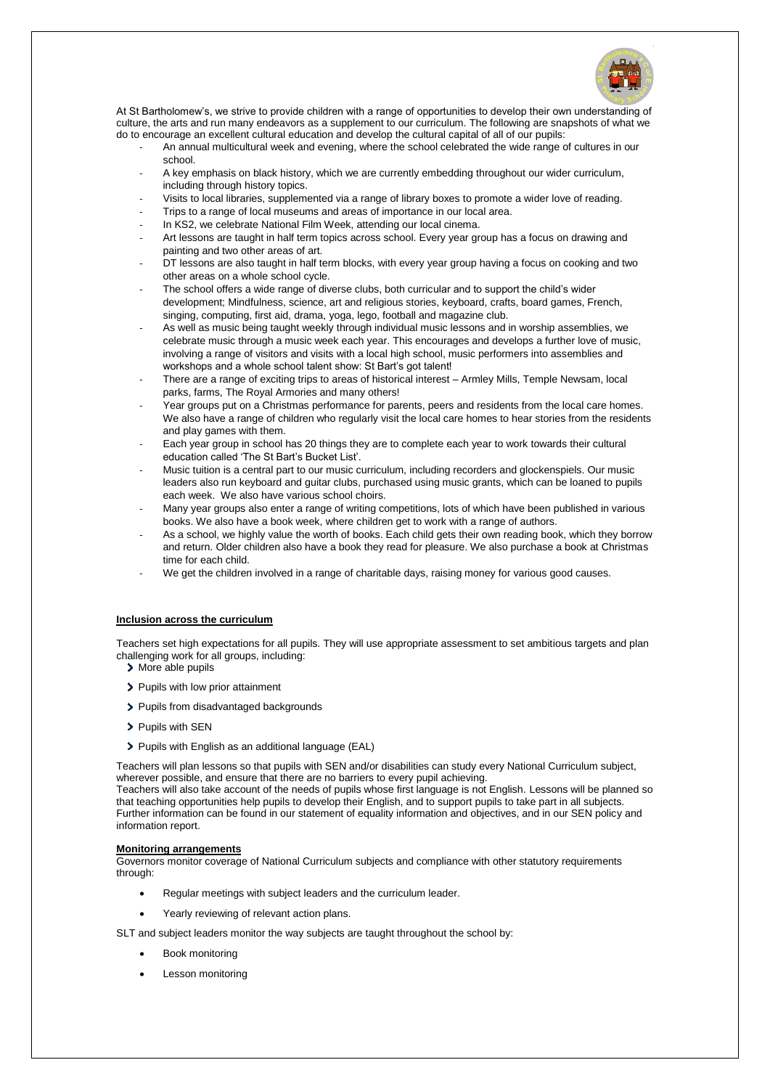

At St Bartholomew's, we strive to provide children with a range of opportunities to develop their own understanding of culture, the arts and run many endeavors as a supplement to our curriculum. The following are snapshots of what we do to encourage an excellent cultural education and develop the cultural capital of all of our pupils:

- An annual multicultural week and evening, where the school celebrated the wide range of cultures in our school.
- A key emphasis on black history, which we are currently embedding throughout our wider curriculum, including through history topics.
- Visits to local libraries, supplemented via a range of library boxes to promote a wider love of reading.
- Trips to a range of local museums and areas of importance in our local area.
- In KS2, we celebrate National Film Week, attending our local cinema.
- Art lessons are taught in half term topics across school. Every year group has a focus on drawing and painting and two other areas of art.
- DT lessons are also taught in half term blocks, with every year group having a focus on cooking and two other areas on a whole school cycle.
- The school offers a wide range of diverse clubs, both curricular and to support the child's wider development; Mindfulness, science, art and religious stories, keyboard, crafts, board games, French, singing, computing, first aid, drama, yoga, lego, football and magazine club.
- As well as music being taught weekly through individual music lessons and in worship assemblies, we celebrate music through a music week each year. This encourages and develops a further love of music, involving a range of visitors and visits with a local high school, music performers into assemblies and workshops and a whole school talent show: St Bart's got talent!
- There are a range of exciting trips to areas of historical interest Armley Mills, Temple Newsam, local parks, farms, The Royal Armories and many others!
- Year groups put on a Christmas performance for parents, peers and residents from the local care homes. We also have a range of children who regularly visit the local care homes to hear stories from the residents and play games with them.
- Each year group in school has 20 things they are to complete each year to work towards their cultural education called 'The St Bart's Bucket List'.
- Music tuition is a central part to our music curriculum, including recorders and glockenspiels. Our music leaders also run keyboard and guitar clubs, purchased using music grants, which can be loaned to pupils each week. We also have various school choirs.
- Many year groups also enter a range of writing competitions, lots of which have been published in various books. We also have a book week, where children get to work with a range of authors.
- As a school, we highly value the worth of books. Each child gets their own reading book, which they borrow and return. Older children also have a book they read for pleasure. We also purchase a book at Christmas time for each child.
- We get the children involved in a range of charitable days, raising money for various good causes.

# **Inclusion across the curriculum**

Teachers set high expectations for all pupils. They will use appropriate assessment to set ambitious targets and plan challenging work for all groups, including:

- > More able pupils
- > Pupils with low prior attainment
- > Pupils from disadvantaged backgrounds
- > Pupils with SEN
- > Pupils with English as an additional language (EAL)

Teachers will plan lessons so that pupils with SEN and/or disabilities can study every National Curriculum subject, wherever possible, and ensure that there are no barriers to every pupil achieving.

Teachers will also take account of the needs of pupils whose first language is not English. Lessons will be planned so that teaching opportunities help pupils to develop their English, and to support pupils to take part in all subjects. Further information can be found in our statement of equality information and objectives, and in our SEN policy and information report.

### **Monitoring arrangements**

Governors monitor coverage of National Curriculum subjects and compliance with other statutory requirements through:

- Regular meetings with subject leaders and the curriculum leader.
- Yearly reviewing of relevant action plans.

SLT and subject leaders monitor the way subjects are taught throughout the school by:

- Book monitoring
- Lesson monitoring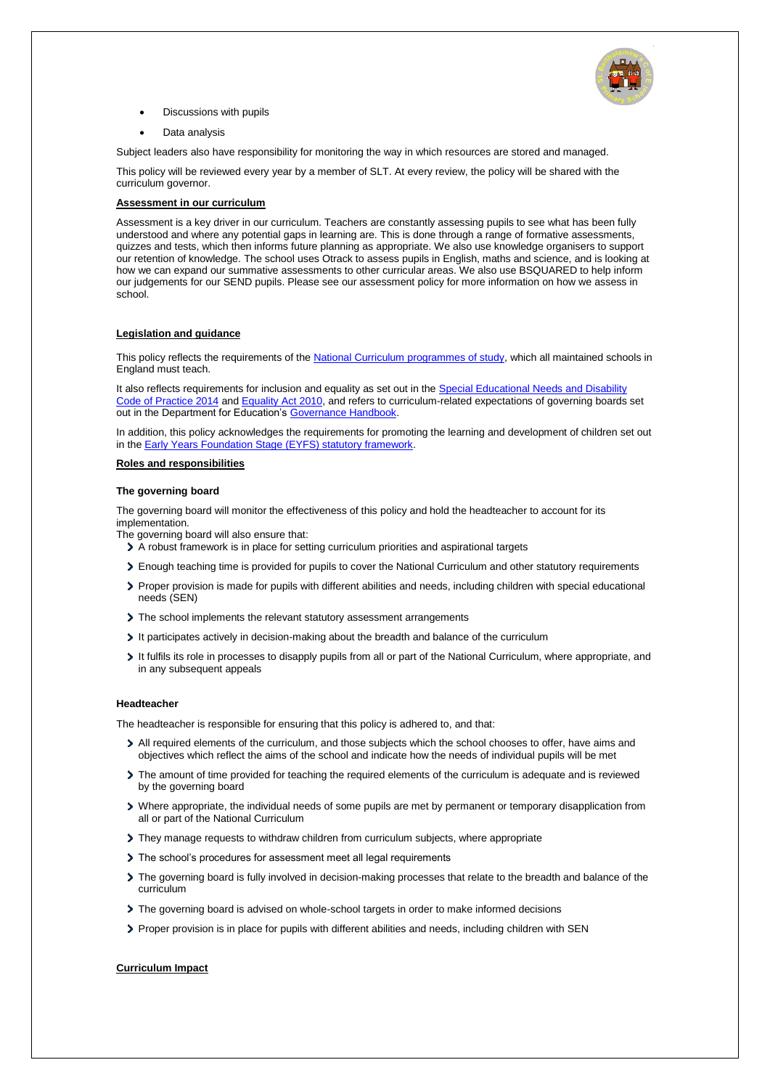

- Discussions with pupils
- Data analysis

Subject leaders also have responsibility for monitoring the way in which resources are stored and managed.

This policy will be reviewed every year by a member of SLT. At every review, the policy will be shared with the curriculum governor.

## **Assessment in our curriculum**

Assessment is a key driver in our curriculum. Teachers are constantly assessing pupils to see what has been fully understood and where any potential gaps in learning are. This is done through a range of formative assessments, quizzes and tests, which then informs future planning as appropriate. We also use knowledge organisers to support our retention of knowledge. The school uses Otrack to assess pupils in English, maths and science, and is looking at how we can expand our summative assessments to other curricular areas. We also use BSQUARED to help inform our judgements for our SEND pupils. Please see our assessment policy for more information on how we assess in school.

### **Legislation and guidance**

This policy reflects the requirements of th[e National Curriculum programmes of study,](https://www.gov.uk/government/collections/national-curriculum) which all maintained schools in England must teach.

It also reflects requirements for inclusion and equality as set out in th[e Special Educational Needs and Disability](https://www.gov.uk/government/publications/send-code-of-practice-0-to-25)  [Code of Practice 2014](https://www.gov.uk/government/publications/send-code-of-practice-0-to-25) and [Equality Act 2010,](http://www.legislation.gov.uk/ukpga/2010/15/part/6/chapter/1) and refers to curriculum-related expectations of governing boards set out in the Department for Education'[s Governance Handbook.](https://www.gov.uk/government/publications/governance-handbook)

In addition, this policy acknowledges the requirements for promoting the learning and development of children set out in the **Early Years Foundation Stage (EYFS) statutory framework.** 

### **Roles and responsibilities**

### **The governing board**

The governing board will monitor the effectiveness of this policy and hold the headteacher to account for its implementation.

- The governing board will also ensure that:
	- A robust framework is in place for setting curriculum priorities and aspirational targets
	- Enough teaching time is provided for pupils to cover the National Curriculum and other statutory requirements
	- > Proper provision is made for pupils with different abilities and needs, including children with special educational needs (SEN)
	- > The school implements the relevant statutory assessment arrangements
	- It participates actively in decision-making about the breadth and balance of the curriculum
	- It fulfils its role in processes to disapply pupils from all or part of the National Curriculum, where appropriate, and in any subsequent appeals

## **Headteacher**

The headteacher is responsible for ensuring that this policy is adhered to, and that:

- > All required elements of the curriculum, and those subjects which the school chooses to offer, have aims and objectives which reflect the aims of the school and indicate how the needs of individual pupils will be met
- > The amount of time provided for teaching the required elements of the curriculum is adequate and is reviewed by the governing board
- Where appropriate, the individual needs of some pupils are met by permanent or temporary disapplication from all or part of the National Curriculum
- They manage requests to withdraw children from curriculum subjects, where appropriate
- > The school's procedures for assessment meet all legal requirements
- The governing board is fully involved in decision-making processes that relate to the breadth and balance of the curriculum
- The governing board is advised on whole-school targets in order to make informed decisions
- Proper provision is in place for pupils with different abilities and needs, including children with SEN

### **Curriculum Impact**